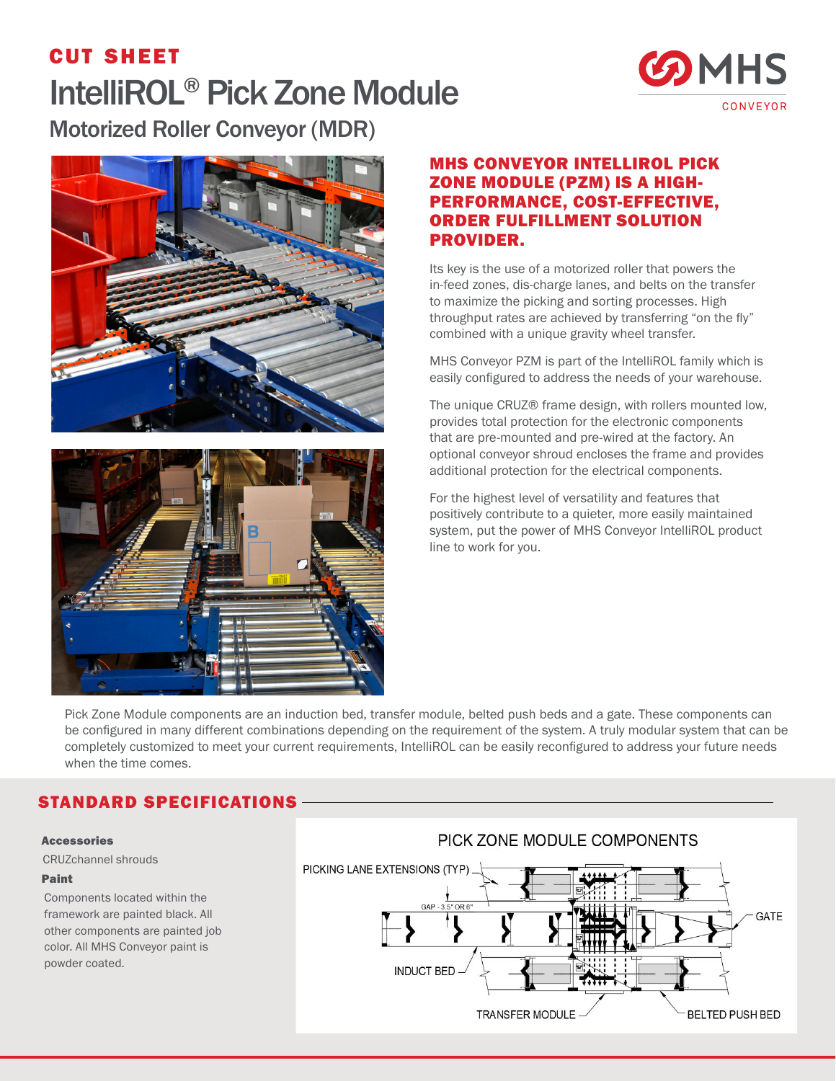# cut sheet IntelliROL® Pick Zone Module Motorized Roller Conveyor (MDR)







### MHS CONVEYOR INTELLIROL PICK ZONE MODULE (PZM) IS A HIGH-PERFORMANCE, COST-EFFECTIVE, ORDER FULFILLMENT SOLUTION PROVIDER.

Its key is the use of a motorized roller that powers the in-feed zones, dis-charge lanes, and belts on the transfer to maximize the picking and sorting processes. High throughput rates are achieved by transferring "on the fly" combined with a unique gravity wheel transfer.

MHS Conveyor PZM is part of the IntelliROL family which is easily configured to address the needs of your warehouse.

The unique CRUZ® frame design, with rollers mounted low, provides total protection for the electronic components that are pre-mounted and pre-wired at the factory. An optional conveyor shroud encloses the frame and provides additional protection for the electrical components.

For the highest level of versatility and features that positively contribute to a quieter, more easily maintained system, put the power of MHS Conveyor IntelliROL product line to work for you.

Pick Zone Module components are an induction bed, transfer module, belted push beds and a gate. These components can be configured in many different combinations depending on the requirement of the system. A truly modular system that can be completely customized to meet your current requirements, IntelliROL can be easily reconfigured to address your future needs when the time comes.

# STANDARD SPECIFICATIONS

#### Accessories

CRUZchannel shrouds

#### Paint

Components located within the framework are painted black. All other components are painted job color. All MHS Conveyor paint is powder coated.